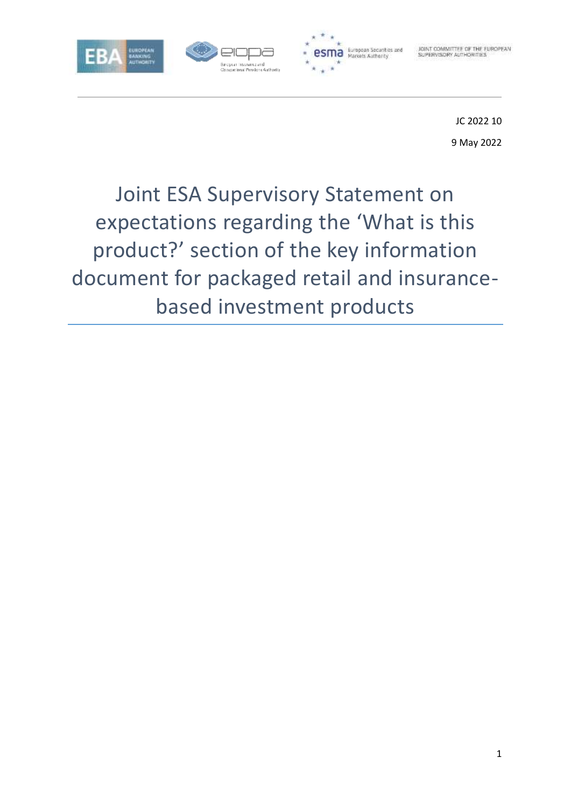



JOINT COMMITTEE OF THE EUROPEAN

JC 2022 10 9 May 2022

# Joint ESA Supervisory Statement on expectations regarding the 'What is this product?' section of the key information document for packaged retail and insurancebased investment products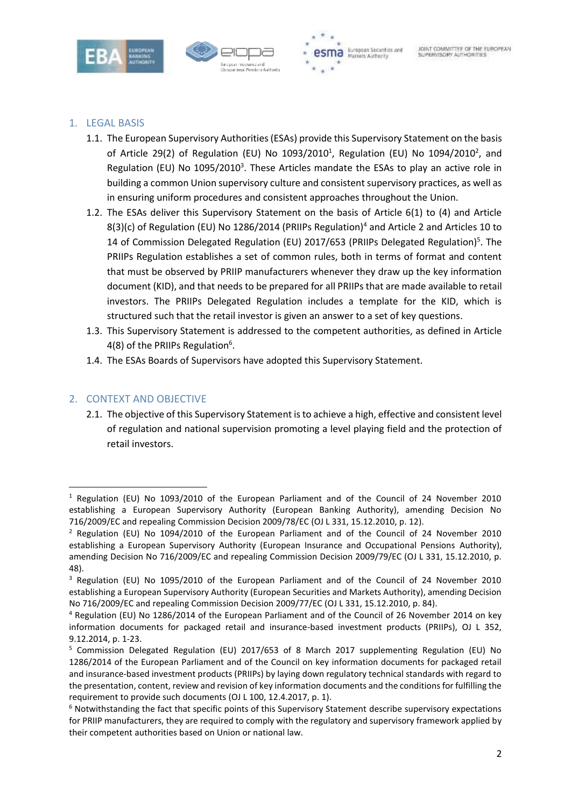





# 1. LEGAL BASIS

- 1.1. The European Supervisory Authorities (ESAs) provide this Supervisory Statement on the basis of Article 29(2) of Regulation (EU) No  $1093/2010<sup>1</sup>$ , Regulation (EU) No  $1094/2010<sup>2</sup>$ , and Regulation (EU) No 1095/2010<sup>3</sup>. These Articles mandate the ESAs to play an active role in building a common Union supervisory culture and consistent supervisory practices, as well as in ensuring uniform procedures and consistent approaches throughout the Union.
- 1.2. The ESAs deliver this Supervisory Statement on the basis of Article 6(1) to (4) and Article 8(3)(c) of Regulation (EU) No 1286/2014 (PRIIPs Regulation)<sup>4</sup> and Article 2 and Articles 10 to 14 of Commission Delegated Regulation (EU) 2017/653 (PRIIPs Delegated Regulation)<sup>5</sup>. The PRIIPs Regulation establishes a set of common rules, both in terms of format and content that must be observed by PRIIP manufacturers whenever they draw up the key information document (KID), and that needs to be prepared for all PRIIPs that are made available to retail investors. The PRIIPs Delegated Regulation includes a template for the KID, which is structured such that the retail investor is given an answer to a set of key questions.
- 1.3. This Supervisory Statement is addressed to the competent authorities, as defined in Article 4(8) of the PRIIPs Regulation<sup>6</sup>.
- 1.4. The ESAs Boards of Supervisors have adopted this Supervisory Statement.

# 2. CONTEXT AND OBJECTIVE

**.** 

2.1. The objective of this Supervisory Statement is to achieve a high, effective and consistent level of regulation and national supervision promoting a level playing field and the protection of retail investors.

<sup>1</sup> Regulation (EU) No 1093/2010 of the European Parliament and of the Council of 24 November 2010 establishing a European Supervisory Authority (European Banking Authority), amending Decision No 716/2009/EC and repealing Commission Decision 2009/78/EC (OJ L 331, 15.12.2010, p. 12).

<sup>2</sup> Regulation (EU) No 1094/2010 of the European Parliament and of the Council of 24 November 2010 establishing a European Supervisory Authority (European Insurance and Occupational Pensions Authority), amending Decision No 716/2009/EC and repealing Commission Decision 2009/79/EC (OJ L 331, 15.12.2010, p. 48).

<sup>3</sup> Regulation (EU) No 1095/2010 of the European Parliament and of the Council of 24 November 2010 establishing a European Supervisory Authority (European Securities and Markets Authority), amending Decision No 716/2009/EC and repealing Commission Decision 2009/77/EC (OJ L 331, 15.12.2010, p. 84).

<sup>4</sup> Regulation (EU) No 1286/2014 of the European Parliament and of the Council of 26 November 2014 on key information documents for packaged retail and insurance-based investment products (PRIIPs), OJ L 352, 9.12.2014, p. 1-23.

<sup>5</sup> Commission Delegated Regulation (EU) 2017/653 of 8 March 2017 supplementing Regulation (EU) No 1286/2014 of the European Parliament and of the Council on key information documents for packaged retail and insurance-based investment products (PRIIPs) by laying down regulatory technical standards with regard to the presentation, content, review and revision of key information documents and the conditions for fulfilling the requirement to provide such documents (OJ L 100, 12.4.2017, p. 1).

<sup>6</sup> Notwithstanding the fact that specific points of this Supervisory Statement describe supervisory expectations for PRIIP manufacturers, they are required to comply with the regulatory and supervisory framework applied by their competent authorities based on Union or national law.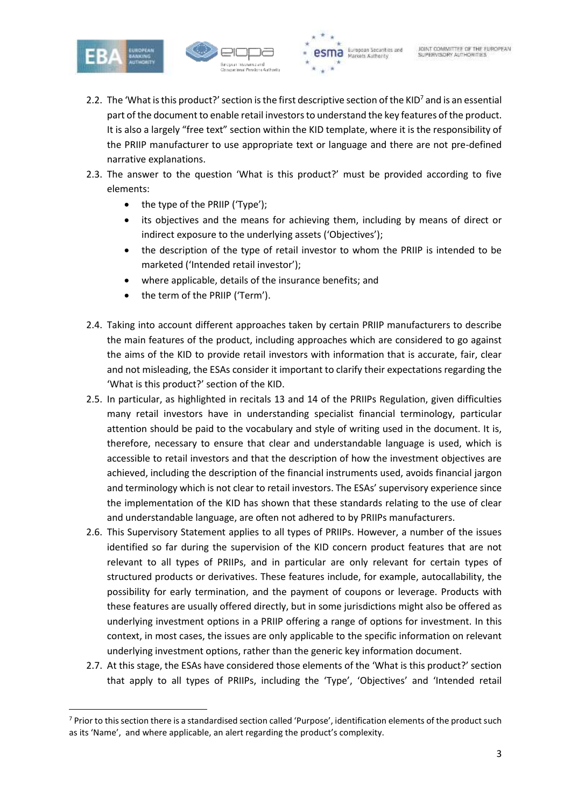

1





- 2.2. The 'What is this product?' section is the first descriptive section of the KID<sup>7</sup> and is an essential part of the document to enable retail investors to understand the key features of the product. It is also a largely "free text" section within the KID template, where it is the responsibility of the PRIIP manufacturer to use appropriate text or language and there are not pre-defined narrative explanations.
- 2.3. The answer to the question 'What is this product?' must be provided according to five elements:
	- $\bullet$  the type of the PRIIP ('Type');
	- its objectives and the means for achieving them, including by means of direct or indirect exposure to the underlying assets ('Objectives');
	- the description of the type of retail investor to whom the PRIIP is intended to be marketed ('Intended retail investor');
	- where applicable, details of the insurance benefits; and
	- the term of the PRIIP ('Term').
- 2.4. Taking into account different approaches taken by certain PRIIP manufacturers to describe the main features of the product, including approaches which are considered to go against the aims of the KID to provide retail investors with information that is accurate, fair, clear and not misleading, the ESAs consider it important to clarify their expectations regarding the 'What is this product?' section of the KID.
- 2.5. In particular, as highlighted in recitals 13 and 14 of the PRIIPs Regulation, given difficulties many retail investors have in understanding specialist financial terminology, particular attention should be paid to the vocabulary and style of writing used in the document. It is, therefore, necessary to ensure that clear and understandable language is used, which is accessible to retail investors and that the description of how the investment objectives are achieved, including the description of the financial instruments used, avoids financial jargon and terminology which is not clear to retail investors. The ESAs' supervisory experience since the implementation of the KID has shown that these standards relating to the use of clear and understandable language, are often not adhered to by PRIIPs manufacturers.
- 2.6. This Supervisory Statement applies to all types of PRIIPs. However, a number of the issues identified so far during the supervision of the KID concern product features that are not relevant to all types of PRIIPs, and in particular are only relevant for certain types of structured products or derivatives. These features include, for example, autocallability, the possibility for early termination, and the payment of coupons or leverage. Products with these features are usually offered directly, but in some jurisdictions might also be offered as underlying investment options in a PRIIP offering a range of options for investment. In this context, in most cases, the issues are only applicable to the specific information on relevant underlying investment options, rather than the generic key information document.
- 2.7. At this stage, the ESAs have considered those elements of the 'What is this product?' section that apply to all types of PRIIPs, including the 'Type', 'Objectives' and 'Intended retail

<sup>7</sup> Prior to this section there is a standardised section called 'Purpose', identification elements of the product such as its 'Name', and where applicable, an alert regarding the product's complexity.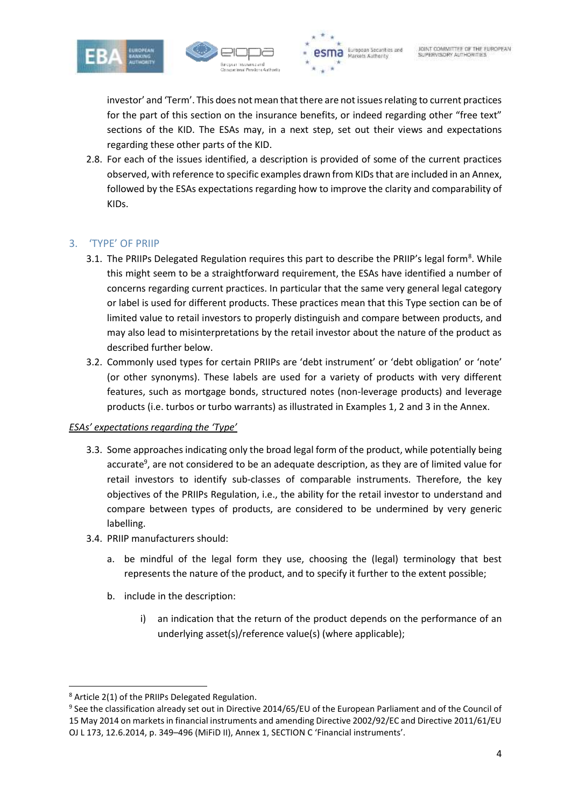





investor' and 'Term'. This does not mean that there are not issues relating to current practices for the part of this section on the insurance benefits, or indeed regarding other "free text" sections of the KID. The ESAs may, in a next step, set out their views and expectations regarding these other parts of the KID.

2.8. For each of the issues identified, a description is provided of some of the current practices observed, with reference to specific examples drawn from KIDs that are included in an Annex. followed by the ESAs expectations regarding how to improve the clarity and comparability of KIDs.

# 3. 'TYPE' OF PRIIP

- 3.1. The PRIIPs Delegated Regulation requires this part to describe the PRIIP's legal form<sup>8</sup>. While this might seem to be a straightforward requirement, the ESAs have identified a number of concerns regarding current practices. In particular that the same very general legal category or label is used for different products. These practices mean that this Type section can be of limited value to retail investors to properly distinguish and compare between products, and may also lead to misinterpretations by the retail investor about the nature of the product as described further below.
- 3.2. Commonly used types for certain PRIIPs are 'debt instrument' or 'debt obligation' or 'note' (or other synonyms). These labels are used for a variety of products with very different features, such as mortgage bonds, structured notes (non-leverage products) and leverage products (i.e. turbos or turbo warrants) as illustrated in Examples 1, 2 and 3 in the Annex.

#### *ESAs' expectations regarding the 'Type'*

- 3.3. Some approaches indicating only the broad legal form of the product, while potentially being accurate<sup>9</sup>, are not considered to be an adequate description, as they are of limited value for retail investors to identify sub-classes of comparable instruments. Therefore, the key objectives of the PRIIPs Regulation, i.e., the ability for the retail investor to understand and compare between types of products, are considered to be undermined by very generic labelling.
- 3.4. PRIIP manufacturers should:
	- a. be mindful of the legal form they use, choosing the (legal) terminology that best represents the nature of the product, and to specify it further to the extent possible;
	- b. include in the description:
		- i) an indication that the return of the product depends on the performance of an underlying asset(s)/reference value(s) (where applicable);

1

<sup>8</sup> Article 2(1) of the PRIIPs Delegated Regulation.

<sup>&</sup>lt;sup>9</sup> See the classification already set out in Directive 2014/65/EU of the European Parliament and of the Council of 15 May 2014 on markets in financial instruments and amending Directive 2002/92/EC and Directive 2011/61/EU OJ L 173, 12.6.2014, p. 349–496 (MiFiD II), Annex 1, SECTION C 'Financial instruments'.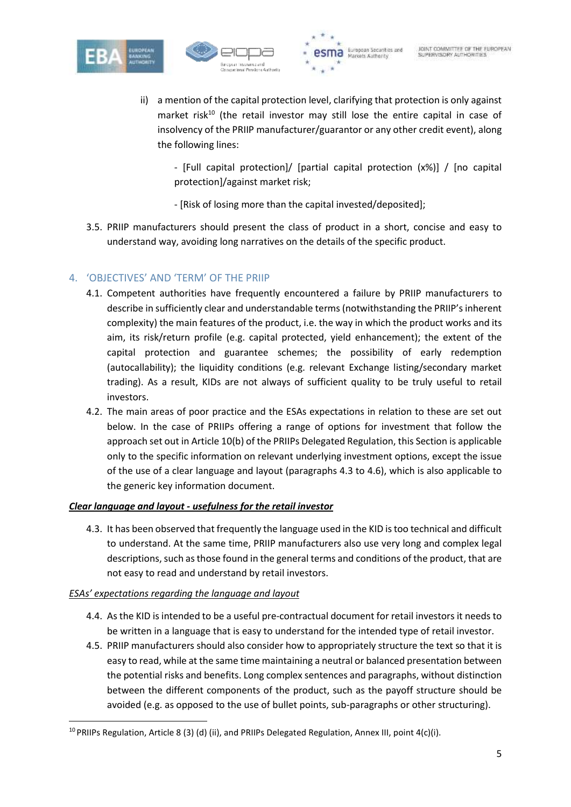





ii) a mention of the capital protection level, clarifying that protection is only against market risk<sup>10</sup> (the retail investor may still lose the entire capital in case of insolvency of the PRIIP manufacturer/guarantor or any other credit event), along the following lines:

- [Full capital protection]/ [partial capital protection (x%)] / [no capital protection]/against market risk;

- [Risk of losing more than the capital invested/deposited];

3.5. PRIIP manufacturers should present the class of product in a short, concise and easy to understand way, avoiding long narratives on the details of the specific product.

# 4. 'OBJECTIVES' AND 'TERM' OF THE PRIIP

- 4.1. Competent authorities have frequently encountered a failure by PRIIP manufacturers to describe in sufficiently clear and understandable terms (notwithstanding the PRIIP's inherent complexity) the main features of the product, i.e. the way in which the product works and its aim, its risk/return profile (e.g. capital protected, yield enhancement); the extent of the capital protection and guarantee schemes; the possibility of early redemption (autocallability); the liquidity conditions (e.g. relevant Exchange listing/secondary market trading). As a result, KIDs are not always of sufficient quality to be truly useful to retail investors.
- 4.2. The main areas of poor practice and the ESAs expectations in relation to these are set out below. In the case of PRIIPs offering a range of options for investment that follow the approach set out in Article 10(b) of the PRIIPs Delegated Regulation, this Section is applicable only to the specific information on relevant underlying investment options, except the issue of the use of a clear language and layout (paragraphs 4.3 to 4.6), which is also applicable to the generic key information document.

## *Clear language and layout - usefulness for the retail investor*

4.3. It has been observed that frequently the language used in the KID is too technical and difficult to understand. At the same time, PRIIP manufacturers also use very long and complex legal descriptions, such as those found in the general terms and conditions of the product, that are not easy to read and understand by retail investors.

## *ESAs' expectations regarding the language and layout*

**.** 

- 4.4. As the KID is intended to be a useful pre-contractual document for retail investors it needs to be written in a language that is easy to understand for the intended type of retail investor.
- 4.5. PRIIP manufacturers should also consider how to appropriately structure the text so that it is easy to read, while at the same time maintaining a neutral or balanced presentation between the potential risks and benefits. Long complex sentences and paragraphs, without distinction between the different components of the product, such as the payoff structure should be avoided (e.g. as opposed to the use of bullet points, sub-paragraphs or other structuring).

<sup>&</sup>lt;sup>10</sup> PRIIPs Regulation, Article 8 (3) (d) (ii), and PRIIPs Delegated Regulation, Annex III, point  $4(c)(i)$ .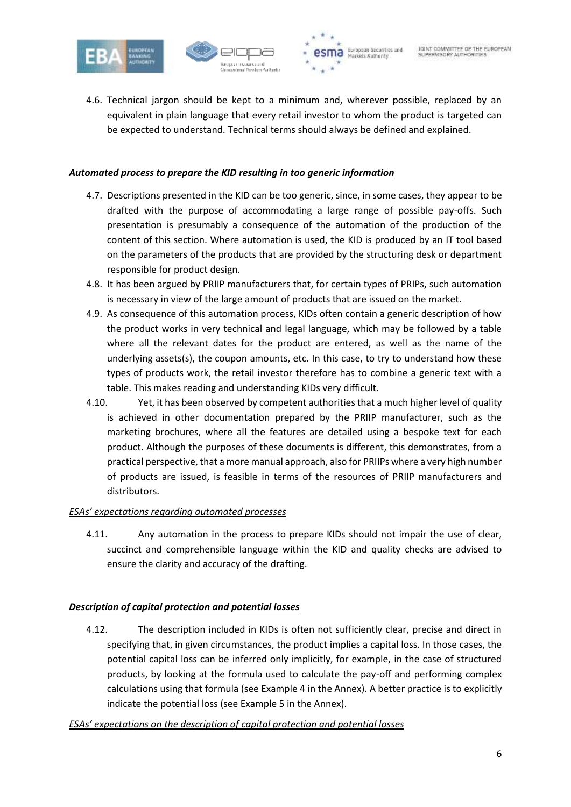





4.6. Technical jargon should be kept to a minimum and, wherever possible, replaced by an equivalent in plain language that every retail investor to whom the product is targeted can be expected to understand. Technical terms should always be defined and explained.

# *Automated process to prepare the KID resulting in too generic information*

- 4.7. Descriptions presented in the KID can be too generic, since, in some cases, they appear to be drafted with the purpose of accommodating a large range of possible pay-offs. Such presentation is presumably a consequence of the automation of the production of the content of this section. Where automation is used, the KID is produced by an IT tool based on the parameters of the products that are provided by the structuring desk or department responsible for product design.
- 4.8. It has been argued by PRIIP manufacturers that, for certain types of PRIPs, such automation is necessary in view of the large amount of products that are issued on the market.
- 4.9. As consequence of this automation process, KIDs often contain a generic description of how the product works in very technical and legal language, which may be followed by a table where all the relevant dates for the product are entered, as well as the name of the underlying assets(s), the coupon amounts, etc. In this case, to try to understand how these types of products work, the retail investor therefore has to combine a generic text with a table. This makes reading and understanding KIDs very difficult.
- 4.10. Yet, it has been observed by competent authorities that a much higher level of quality is achieved in other documentation prepared by the PRIIP manufacturer, such as the marketing brochures, where all the features are detailed using a bespoke text for each product. Although the purposes of these documents is different, this demonstrates, from a practical perspective, that a more manual approach, also for PRIIPs where a very high number of products are issued, is feasible in terms of the resources of PRIIP manufacturers and distributors.

## *ESAs' expectations regarding automated processes*

4.11. Any automation in the process to prepare KIDs should not impair the use of clear, succinct and comprehensible language within the KID and quality checks are advised to ensure the clarity and accuracy of the drafting.

## *Description of capital protection and potential losses*

4.12. The description included in KIDs is often not sufficiently clear, precise and direct in specifying that, in given circumstances, the product implies a capital loss. In those cases, the potential capital loss can be inferred only implicitly, for example, in the case of structured products, by looking at the formula used to calculate the pay-off and performing complex calculations using that formula (see Example 4 in the Annex). A better practice is to explicitly indicate the potential loss (see Example 5 in the Annex).

*ESAs' expectations on the description of capital protection and potential losses*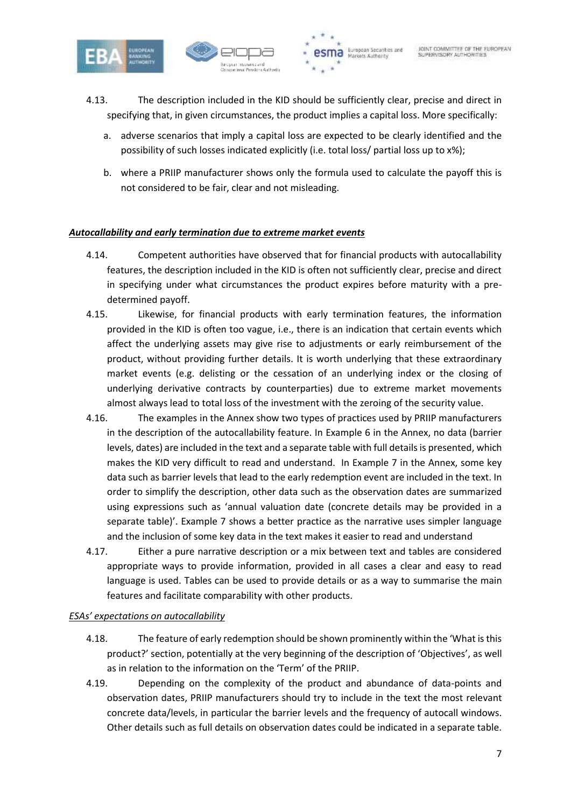





- 4.13. The description included in the KID should be sufficiently clear, precise and direct in specifying that, in given circumstances, the product implies a capital loss. More specifically:
	- a. adverse scenarios that imply a capital loss are expected to be clearly identified and the possibility of such losses indicated explicitly (i.e. total loss/ partial loss up to x%);
	- b. where a PRIIP manufacturer shows only the formula used to calculate the payoff this is not considered to be fair, clear and not misleading.

# *Autocallability and early termination due to extreme market events*

- 4.14. Competent authorities have observed that for financial products with autocallability features, the description included in the KID is often not sufficiently clear, precise and direct in specifying under what circumstances the product expires before maturity with a predetermined payoff.
- 4.15. Likewise, for financial products with early termination features, the information provided in the KID is often too vague, i.e., there is an indication that certain events which affect the underlying assets may give rise to adjustments or early reimbursement of the product, without providing further details. It is worth underlying that these extraordinary market events (e.g. delisting or the cessation of an underlying index or the closing of underlying derivative contracts by counterparties) due to extreme market movements almost always lead to total loss of the investment with the zeroing of the security value.
- 4.16. The examples in the Annex show two types of practices used by PRIIP manufacturers in the description of the autocallability feature. In Example 6 in the Annex, no data (barrier levels, dates) are included in the text and a separate table with full details is presented, which makes the KID very difficult to read and understand. In Example 7 in the Annex, some key data such as barrier levels that lead to the early redemption event are included in the text. In order to simplify the description, other data such as the observation dates are summarized using expressions such as 'annual valuation date (concrete details may be provided in a separate table)'. Example 7 shows a better practice as the narrative uses simpler language and the inclusion of some key data in the text makes it easier to read and understand
- 4.17. Either a pure narrative description or a mix between text and tables are considered appropriate ways to provide information, provided in all cases a clear and easy to read language is used. Tables can be used to provide details or as a way to summarise the main features and facilitate comparability with other products.

## *ESAs' expectations on autocallability*

- 4.18. The feature of early redemption should be shown prominently within the 'What is this product?' section, potentially at the very beginning of the description of 'Objectives', as well as in relation to the information on the 'Term' of the PRIIP.
- 4.19. Depending on the complexity of the product and abundance of data-points and observation dates, PRIIP manufacturers should try to include in the text the most relevant concrete data/levels, in particular the barrier levels and the frequency of autocall windows. Other details such as full details on observation dates could be indicated in a separate table.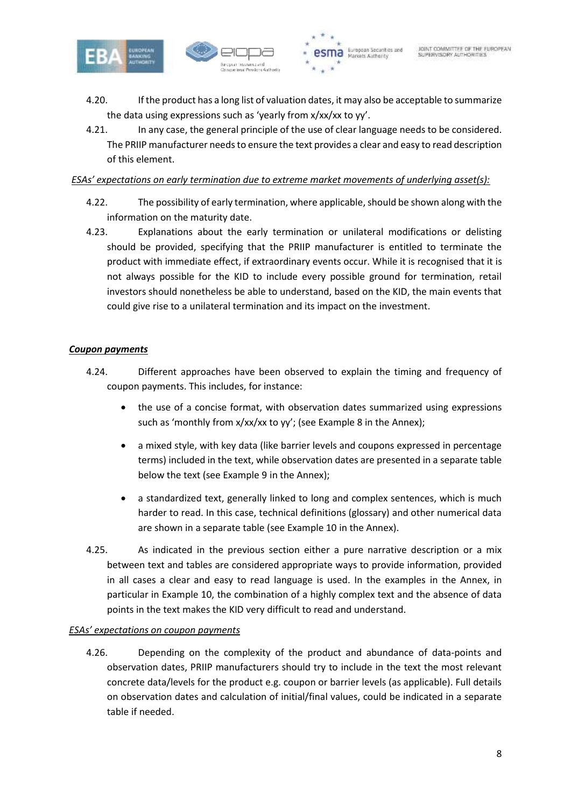



- 4.20. If the product has a long list of valuation dates, it may also be acceptable to summarize the data using expressions such as 'yearly from x/xx/xx to yy'.
- 4.21. In any case, the general principle of the use of clear language needs to be considered. The PRIIP manufacturer needs to ensure the text provides a clear and easy to read description of this element.

#### *ESAs' expectations on early termination due to extreme market movements of underlying asset(s):*

- 4.22. The possibility of early termination, where applicable, should be shown along with the information on the maturity date.
- 4.23. Explanations about the early termination or unilateral modifications or delisting should be provided, specifying that the PRIIP manufacturer is entitled to terminate the product with immediate effect, if extraordinary events occur. While it is recognised that it is not always possible for the KID to include every possible ground for termination, retail investors should nonetheless be able to understand, based on the KID, the main events that could give rise to a unilateral termination and its impact on the investment.

#### *Coupon payments*

- 4.24. Different approaches have been observed to explain the timing and frequency of coupon payments. This includes, for instance:
	- the use of a concise format, with observation dates summarized using expressions such as 'monthly from x/xx/xx to yy'; (see Example 8 in the Annex);
	- a mixed style, with key data (like barrier levels and coupons expressed in percentage terms) included in the text, while observation dates are presented in a separate table below the text (see Example 9 in the Annex);
	- a standardized text, generally linked to long and complex sentences, which is much harder to read. In this case, technical definitions (glossary) and other numerical data are shown in a separate table (see Example 10 in the Annex).
- 4.25. As indicated in the previous section either a pure narrative description or a mix between text and tables are considered appropriate ways to provide information, provided in all cases a clear and easy to read language is used. In the examples in the Annex, in particular in Example 10, the combination of a highly complex text and the absence of data points in the text makes the KID very difficult to read and understand.

## *ESAs' expectations on coupon payments*

4.26. Depending on the complexity of the product and abundance of data-points and observation dates, PRIIP manufacturers should try to include in the text the most relevant concrete data/levels for the product e.g. coupon or barrier levels (as applicable). Full details on observation dates and calculation of initial/final values, could be indicated in a separate table if needed.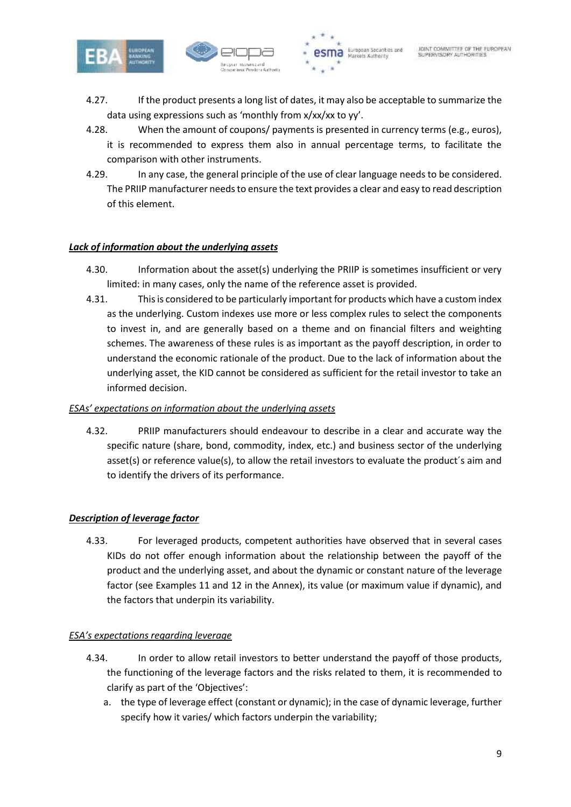



- 4.27. If the product presents a long list of dates, it may also be acceptable to summarize the data using expressions such as 'monthly from x/xx/xx to yy'.
- 4.28. When the amount of coupons/ payments is presented in currency terms (e.g., euros), it is recommended to express them also in annual percentage terms, to facilitate the comparison with other instruments.
- 4.29. In any case, the general principle of the use of clear language needs to be considered. The PRIIP manufacturer needs to ensure the text provides a clear and easy to read description of this element.

## *Lack of information about the underlying assets*

- 4.30. Information about the asset(s) underlying the PRIIP is sometimes insufficient or very limited: in many cases, only the name of the reference asset is provided.
- 4.31. This is considered to be particularly important for products which have a custom index as the underlying. Custom indexes use more or less complex rules to select the components to invest in, and are generally based on a theme and on financial filters and weighting schemes. The awareness of these rules is as important as the payoff description, in order to understand the economic rationale of the product. Due to the lack of information about the underlying asset, the KID cannot be considered as sufficient for the retail investor to take an informed decision.

#### *ESAs' expectations on information about the underlying assets*

4.32. PRIIP manufacturers should endeavour to describe in a clear and accurate way the specific nature (share, bond, commodity, index, etc.) and business sector of the underlying asset(s) or reference value(s), to allow the retail investors to evaluate the product´s aim and to identify the drivers of its performance.

## *Description of leverage factor*

4.33. For leveraged products, competent authorities have observed that in several cases KIDs do not offer enough information about the relationship between the payoff of the product and the underlying asset, and about the dynamic or constant nature of the leverage factor (see Examples 11 and 12 in the Annex), its value (or maximum value if dynamic), and the factors that underpin its variability.

## *ESA's expectations regarding leverage*

- 4.34. In order to allow retail investors to better understand the payoff of those products, the functioning of the leverage factors and the risks related to them, it is recommended to clarify as part of the 'Objectives':
	- a. the type of leverage effect (constant or dynamic); in the case of dynamic leverage, further specify how it varies/ which factors underpin the variability;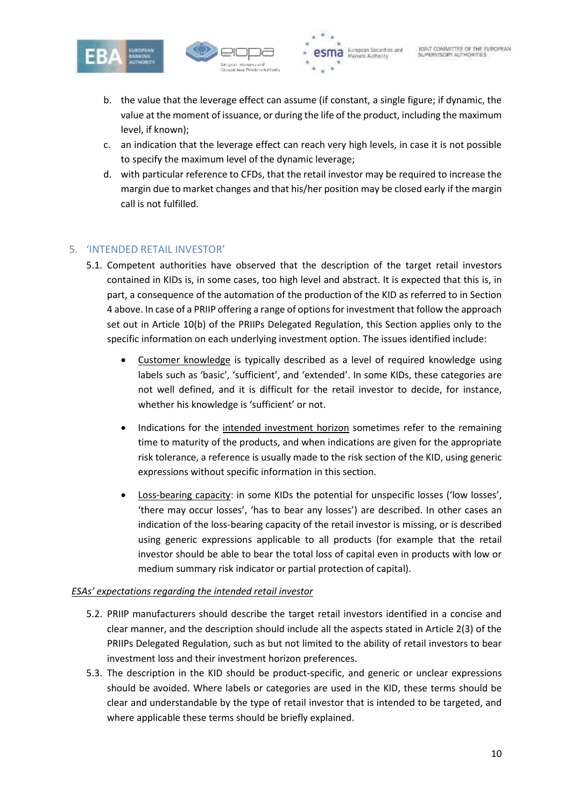





- b. the value that the leverage effect can assume (if constant, a single figure; if dynamic, the value at the moment of issuance, or during the life of the product, including the maximum level, if known);
- c. an indication that the leverage effect can reach very high levels, in case it is not possible to specify the maximum level of the dynamic leverage;
- d. with particular reference to CFDs, that the retail investor may be required to increase the margin due to market changes and that his/her position may be closed early if the margin call is not fulfilled.

# 5. 'INTENDED RETAIL INVESTOR'

- 5.1. Competent authorities have observed that the description of the target retail investors contained in KIDs is, in some cases, too high level and abstract. It is expected that this is, in part, a consequence of the automation of the production of the KID as referred to in Section 4 above. In case of a PRIIP offering a range of options for investment that follow the approach set out in Article 10(b) of the PRIIPs Delegated Regulation, this Section applies only to the specific information on each underlying investment option. The issues identified include:
	- Customer knowledge is typically described as a level of required knowledge using labels such as 'basic', 'sufficient', and 'extended'. In some KIDs, these categories are not well defined, and it is difficult for the retail investor to decide, for instance, whether his knowledge is 'sufficient' or not.
	- Indications for the intended investment horizon sometimes refer to the remaining time to maturity of the products, and when indications are given for the appropriate risk tolerance, a reference is usually made to the risk section of the KID, using generic expressions without specific information in this section.
	- Loss-bearing capacity: in some KIDs the potential for unspecific losses ('low losses', 'there may occur losses', 'has to bear any losses') are described. In other cases an indication of the loss-bearing capacity of the retail investor is missing, or is described using generic expressions applicable to all products (for example that the retail investor should be able to bear the total loss of capital even in products with low or medium summary risk indicator or partial protection of capital).

## *ESAs' expectations regarding the intended retail investor*

- 5.2. PRIIP manufacturers should describe the target retail investors identified in a concise and clear manner, and the description should include all the aspects stated in Article 2(3) of the PRIIPs Delegated Regulation, such as but not limited to the ability of retail investors to bear investment loss and their investment horizon preferences.
- 5.3. The description in the KID should be product-specific, and generic or unclear expressions should be avoided. Where labels or categories are used in the KID, these terms should be clear and understandable by the type of retail investor that is intended to be targeted, and where applicable these terms should be briefly explained.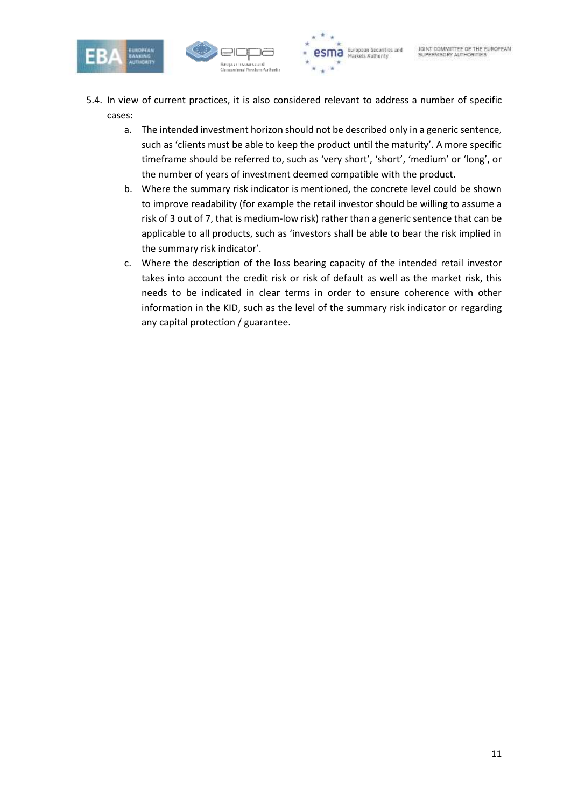



- 5.4. In view of current practices, it is also considered relevant to address a number of specific cases:
	- a. The intended investment horizon should not be described only in a generic sentence, such as 'clients must be able to keep the product until the maturity'. A more specific timeframe should be referred to, such as 'very short', 'short', 'medium' or 'long', or the number of years of investment deemed compatible with the product.
	- b. Where the summary risk indicator is mentioned, the concrete level could be shown to improve readability (for example the retail investor should be willing to assume a risk of 3 out of 7, that is medium-low risk) rather than a generic sentence that can be applicable to all products, such as 'investors shall be able to bear the risk implied in the summary risk indicator'.
	- c. Where the description of the loss bearing capacity of the intended retail investor takes into account the credit risk or risk of default as well as the market risk, this needs to be indicated in clear terms in order to ensure coherence with other information in the KID, such as the level of the summary risk indicator or regarding any capital protection / guarantee.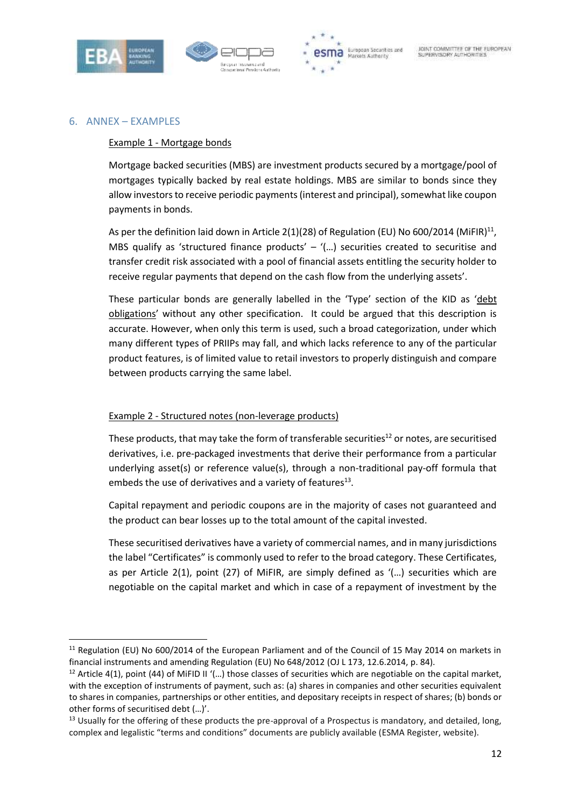





#### 6. ANNEX – EXAMPLES

1

#### Example 1 - Mortgage bonds

Mortgage backed securities (MBS) are investment products secured by a mortgage/pool of mortgages typically backed by real estate holdings. MBS are similar to bonds since they allow investors to receive periodic payments (interest and principal), somewhat like coupon payments in bonds.

As per the definition laid down in Article 2(1)(28) of Regulation (EU) No 600/2014 (MiFIR)<sup>11</sup>, MBS qualify as 'structured finance products' – '(...) securities created to securitise and transfer credit risk associated with a pool of financial assets entitling the security holder to receive regular payments that depend on the cash flow from the underlying assets'.

These particular bonds are generally labelled in the 'Type' section of the KID as 'debt obligations' without any other specification. It could be argued that this description is accurate. However, when only this term is used, such a broad categorization, under which many different types of PRIIPs may fall, and which lacks reference to any of the particular product features, is of limited value to retail investors to properly distinguish and compare between products carrying the same label.

#### Example 2 - Structured notes (non-leverage products)

These products, that may take the form of transferable securities<sup>12</sup> or notes, are securitised derivatives, i.e. pre-packaged investments that derive their performance from a particular underlying asset(s) or reference value(s), through a non-traditional pay-off formula that embeds the use of derivatives and a variety of features $^{13}$ .

Capital repayment and periodic coupons are in the majority of cases not guaranteed and the product can bear losses up to the total amount of the capital invested.

These securitised derivatives have a variety of commercial names, and in many jurisdictions the label "Certificates" is commonly used to refer to the broad category. These Certificates, as per Article 2(1), point (27) of MiFIR, are simply defined as '(…) securities which are negotiable on the capital market and which in case of a repayment of investment by the

<sup>&</sup>lt;sup>11</sup> Regulation (EU) No 600/2014 of the European Parliament and of the Council of 15 May 2014 on markets in financial instruments and amending Regulation (EU) No 648/2012 (OJ L 173, 12.6.2014, p. 84).

<sup>&</sup>lt;sup>12</sup> Article 4(1), point (44) of MiFID II '(...) those classes of securities which are negotiable on the capital market, with the exception of instruments of payment, such as: (a) shares in companies and other securities equivalent to shares in companies, partnerships or other entities, and depositary receipts in respect of shares; (b) bonds or other forms of securitised debt (…)'.

 $13$  Usually for the offering of these products the pre-approval of a Prospectus is mandatory, and detailed, long, complex and legalistic "terms and conditions" documents are publicly available (ESMA Register, website).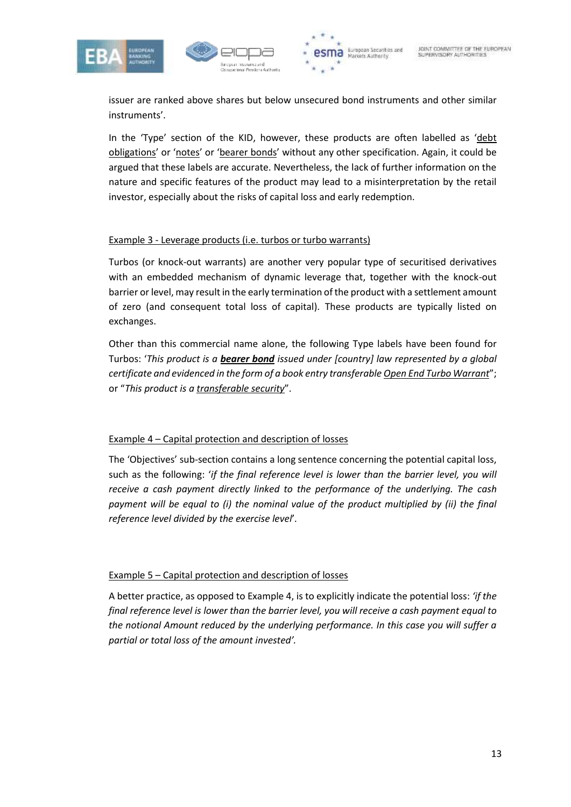





issuer are ranked above shares but below unsecured bond instruments and other similar instruments'.

In the 'Type' section of the KID, however, these products are often labelled as 'debt obligations' or 'notes' or 'bearer bonds' without any other specification. Again, it could be argued that these labels are accurate. Nevertheless, the lack of further information on the nature and specific features of the product may lead to a misinterpretation by the retail investor, especially about the risks of capital loss and early redemption.

## Example 3 - Leverage products (i.e. turbos or turbo warrants)

Turbos (or knock-out warrants) are another very popular type of securitised derivatives with an embedded mechanism of dynamic leverage that, together with the knock-out barrier or level, may result in the early termination of the product with a settlement amount of zero (and consequent total loss of capital). These products are typically listed on exchanges.

Other than this commercial name alone, the following Type labels have been found for Turbos: '*This product is a bearer bond issued under [country] law represented by a global certificate and evidenced in the form of a book entry transferable Open End Turbo Warrant*"; or "*This product is a transferable security*".

## Example 4 – Capital protection and description of losses

The 'Objectives' sub-section contains a long sentence concerning the potential capital loss, such as the following: '*if the final reference level is lower than the barrier level, you will receive a cash payment directly linked to the performance of the underlying. The cash*  payment will be equal to (i) the nominal value of the product multiplied by (ii) the final *reference level divided by the exercise level*'*.*

# Example 5 – Capital protection and description of losses

A better practice, as opposed to Example 4, is to explicitly indicate the potential loss: *'if the final reference level is lower than the barrier level, you will receive a cash payment equal to the notional Amount reduced by the underlying performance. In this case you will suffer a partial or total loss of the amount invested'.*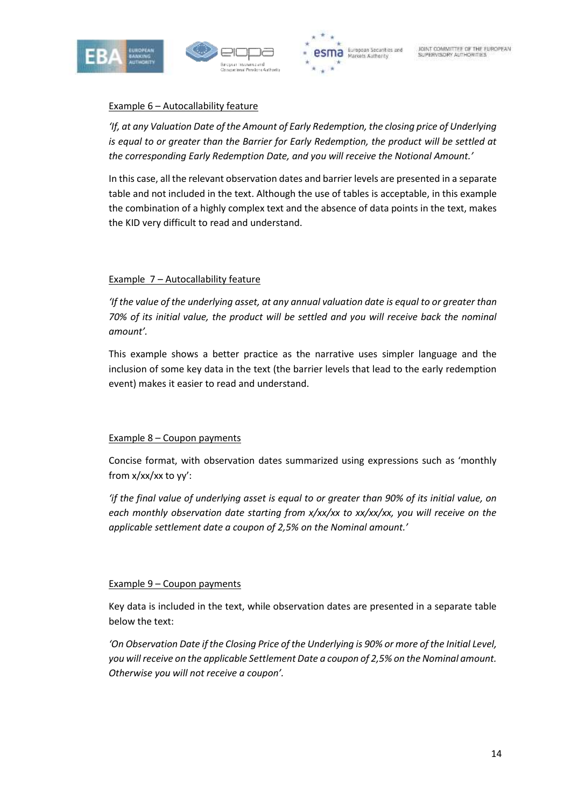





# Example 6 – Autocallability feature

*'If, at any Valuation Date of the Amount of Early Redemption, the closing price of Underlying*  is equal to or greater than the Barrier for Early Redemption, the product will be settled at *the corresponding Early Redemption Date, and you will receive the Notional Amount.'*

In this case, all the relevant observation dates and barrier levels are presented in a separate table and not included in the text. Although the use of tables is acceptable, in this example the combination of a highly complex text and the absence of data points in the text, makes the KID very difficult to read and understand.

# Example 7 – Autocallability feature

*'If the value of the underlying asset, at any annual valuation date is equal to or greater than 70% of its initial value, the product will be settled and you will receive back the nominal amount'.* 

This example shows a better practice as the narrative uses simpler language and the inclusion of some key data in the text (the barrier levels that lead to the early redemption event) makes it easier to read and understand.

## Example 8 – Coupon payments

Concise format, with observation dates summarized using expressions such as 'monthly from x/xx/xx to yy':

*'if the final value of underlying asset is equal to or greater than 90% of its initial value, on each monthly observation date starting from x/xx/xx to xx/xx/xx, you will receive on the applicable settlement date a coupon of 2,5% on the Nominal amount.'*

## Example 9 – Coupon payments

Key data is included in the text, while observation dates are presented in a separate table below the text:

*'On Observation Date if the Closing Price of the Underlying is 90% or more of the Initial Level, you will receive on the applicable Settlement Date a coupon of 2,5% on the Nominal amount. Otherwise you will not receive a coupon'.*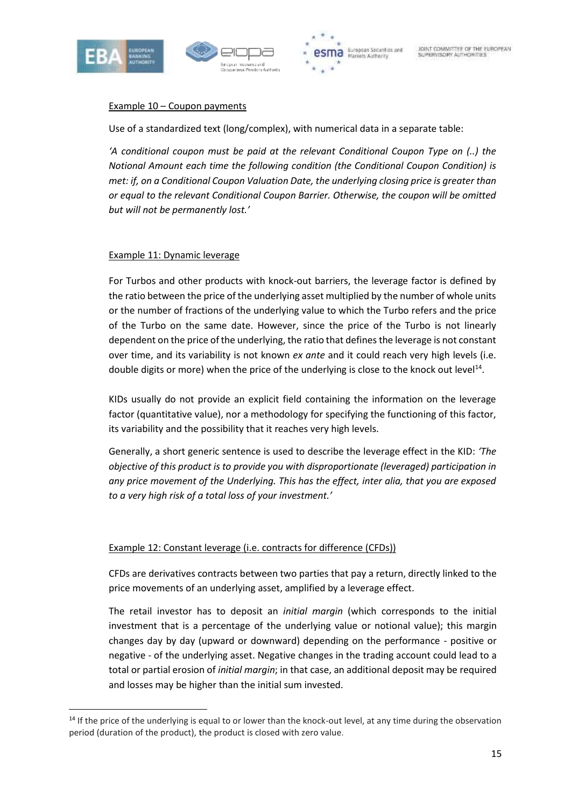

1





## Example 10 – Coupon payments

Use of a standardized text (long/complex), with numerical data in a separate table:

*'A conditional coupon must be paid at the relevant Conditional Coupon Type on (..) the Notional Amount each time the following condition (the Conditional Coupon Condition) is met: if, on a Conditional Coupon Valuation Date, the underlying closing price is greater than or equal to the relevant Conditional Coupon Barrier. Otherwise, the coupon will be omitted but will not be permanently lost.'* 

#### Example 11: Dynamic leverage

For Turbos and other products with knock-out barriers, the leverage factor is defined by the ratio between the price of the underlying asset multiplied by the number of whole units or the number of fractions of the underlying value to which the Turbo refers and the price of the Turbo on the same date. However, since the price of the Turbo is not linearly dependent on the price of the underlying, the ratio that defines the leverage is not constant over time, and its variability is not known *ex ante* and it could reach very high levels (i.e. double digits or more) when the price of the underlying is close to the knock out level<sup>14</sup>.

KIDs usually do not provide an explicit field containing the information on the leverage factor (quantitative value), nor a methodology for specifying the functioning of this factor, its variability and the possibility that it reaches very high levels.

Generally, a short generic sentence is used to describe the leverage effect in the KID: *'The objective of this product is to provide you with disproportionate (leveraged) participation in any price movement of the Underlying. This has the effect, inter alia, that you are exposed to a very high risk of a total loss of your investment.'*

## Example 12: Constant leverage (i.e. contracts for difference (CFDs))

CFDs are derivatives contracts between two parties that pay a return, directly linked to the price movements of an underlying asset, amplified by a leverage effect.

The retail investor has to deposit an *initial margin* (which corresponds to the initial investment that is a percentage of the underlying value or notional value); this margin changes day by day (upward or downward) depending on the performance - positive or negative - of the underlying asset. Negative changes in the trading account could lead to a total or partial erosion of *initial margin*; in that case, an additional deposit may be required and losses may be higher than the initial sum invested.

 $14$  If the price of the underlying is equal to or lower than the knock-out level, at any time during the observation period (duration of the product), the product is closed with zero value.